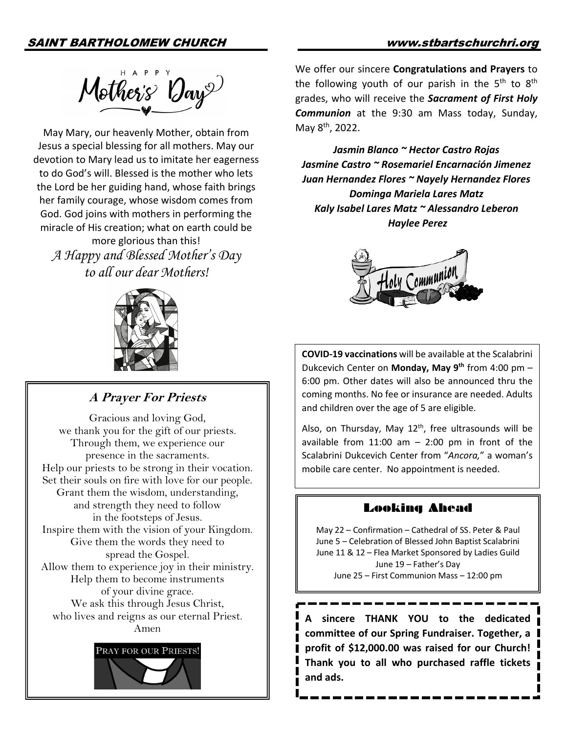

May Mary, our heavenly Mother, obtain from Jesus a special blessing for all mothers. May our devotion to Mary lead us to imitate her eagerness to do God's will. Blessed is the mother who lets the Lord be her guiding hand, whose faith brings her family courage, whose wisdom comes from God. God joins with mothers in performing the miracle of His creation; what on earth could be more glorious than this!

*A Happy and Blessed Mother's Day to all our dear Mothers!*



# **A Prayer For Priests**

Gracious and loving God, we thank you for the gift of our priests. Through them, we experience our presence in the sacraments. Help our priests to be strong in their vocation. Set their souls on fire with love for our people. Grant them the wisdom, understanding, and strength they need to follow in the footsteps of Jesus. Inspire them with the vision of your Kingdom. Give them the words they need to spread the Gospel. Allow them to experience joy in their ministry. Help them to become instruments of your divine grace. We ask this through Jesus Christ, who lives and reigns as our eternal Priest. Amen



We offer our sincere **Congratulations and Prayers** to the following youth of our parish in the  $5<sup>th</sup>$  to  $8<sup>th</sup>$ grades, who will receive the *Sacrament of First Holy Communion* at the 9:30 am Mass today, Sunday, May 8th, 2022.

*Jasmin Blanco ~ Hector Castro Rojas Jasmine Castro ~ Rosemariel Encarnación Jimenez Juan Hernandez Flores ~ Nayely Hernandez Flores Dominga Mariela Lares Matz Kaly Isabel Lares Matz ~ Alessandro Leberon Haylee Perez*



**COVID-19 vaccinations** will be available at the Scalabrini Dukcevich Center on **Monday, May 9th** from 4:00 pm – 6:00 pm. Other dates will also be announced thru the coming months. No fee or insurance are needed. Adults and children over the age of 5 are eligible.

Also, on Thursday, May  $12<sup>th</sup>$ , free ultrasounds will be available from  $11:00$  am  $-$  2:00 pm in front of the Scalabrini Dukcevich Center from "*Ancora,*" a woman's mobile care center. No appointment is needed.

# Looking Ahead

May 22 – Confirmation – Cathedral of SS. Peter & Paul June 5 – Celebration of Blessed John Baptist Scalabrini June 11 & 12 – Flea Market Sponsored by Ladies Guild June 19 – Father's Day June 25 – First Communion Mass – 12:00 pm

**A sincere THANK YOU to the dedicated committee of our Spring Fundraiser. Together, a profit of \$12,000.00 was raised for our Church! Thank you to all who purchased raffle tickets and ads.**